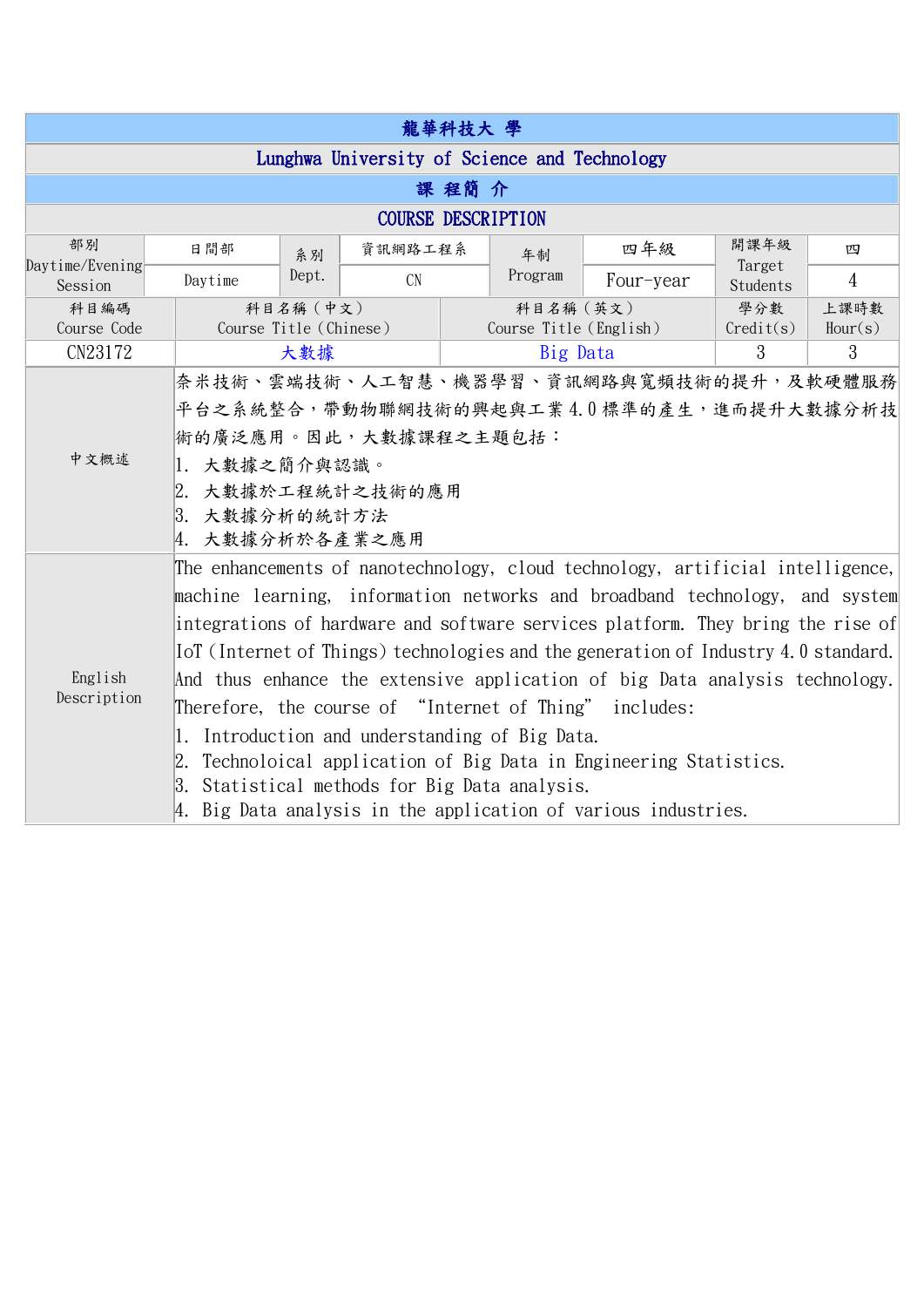| 龍華科技大 學                                      |                                                                                     |                                     |           |  |                                     |           |                    |                 |  |  |
|----------------------------------------------|-------------------------------------------------------------------------------------|-------------------------------------|-----------|--|-------------------------------------|-----------|--------------------|-----------------|--|--|
| Lunghwa University of Science and Technology |                                                                                     |                                     |           |  |                                     |           |                    |                 |  |  |
| 課 程簡 介                                       |                                                                                     |                                     |           |  |                                     |           |                    |                 |  |  |
| <b>COURSE DESCRIPTION</b>                    |                                                                                     |                                     |           |  |                                     |           |                    |                 |  |  |
| 部別                                           | 日間部                                                                                 | 系別                                  | 資訊網路工程系   |  | 年制                                  | 四年級       | 開課年級               | 四               |  |  |
| Daytime/Evening<br>Session                   | Daytime                                                                             | Dept.                               | <b>CN</b> |  | Program                             | Four-year | Target<br>Students | 4               |  |  |
| 科目編碼<br>Course Code                          |                                                                                     | 科目名稱 (中文)<br>Course Title (Chinese) |           |  | 科目名稱 (英文)<br>Course Title (English) |           | 學分數<br>Credit(s)   | 上課時數<br>Hour(s) |  |  |
| CN23172                                      |                                                                                     | 大數據                                 |           |  | Big Data                            |           | 3                  | 3               |  |  |
| 中文概述                                         | 奈米技術、雲端技術、人工智慧、機器學習、資訊網路與寬頻技術的提升,及軟硬體服務                                             |                                     |           |  |                                     |           |                    |                 |  |  |
|                                              | 平台之系統整合,帶動物聯網技術的興起與工業4.0標準的產生,進而提升大數據分析技                                            |                                     |           |  |                                     |           |                    |                 |  |  |
|                                              | 術的廣泛應用。因此,大數據課程之主題包括:                                                               |                                     |           |  |                                     |           |                    |                 |  |  |
|                                              | 1. 大數據之簡介與認識。                                                                       |                                     |           |  |                                     |           |                    |                 |  |  |
|                                              | 2. 大數據於工程統計之技術的應用                                                                   |                                     |           |  |                                     |           |                    |                 |  |  |
|                                              | 3. 大數據分析的統計方法                                                                       |                                     |           |  |                                     |           |                    |                 |  |  |
|                                              |                                                                                     | 4. 大數據分析於各產業之應用                     |           |  |                                     |           |                    |                 |  |  |
| English<br>Description                       | The enhancements of nanotechnology, cloud technology, artificial intelligence,      |                                     |           |  |                                     |           |                    |                 |  |  |
|                                              | machine learning, information networks and broadband technology, and system         |                                     |           |  |                                     |           |                    |                 |  |  |
|                                              | integrations of hardware and software services platform. They bring the rise of     |                                     |           |  |                                     |           |                    |                 |  |  |
|                                              | [ot] (Internet of Things) technologies and the generation of Industry 4.0 standard. |                                     |           |  |                                     |           |                    |                 |  |  |
|                                              | And thus enhance the extensive application of big Data analysis technology.         |                                     |           |  |                                     |           |                    |                 |  |  |
|                                              | Therefore, the course of "Internet of Thing" includes:                              |                                     |           |  |                                     |           |                    |                 |  |  |
|                                              | Introduction and understanding of Big Data.<br>1.                                   |                                     |           |  |                                     |           |                    |                 |  |  |
|                                              | 2. Technoloical application of Big Data in Engineering Statistics.                  |                                     |           |  |                                     |           |                    |                 |  |  |
|                                              | 3. Statistical methods for Big Data analysis.                                       |                                     |           |  |                                     |           |                    |                 |  |  |
|                                              | 4. Big Data analysis in the application of various industries.                      |                                     |           |  |                                     |           |                    |                 |  |  |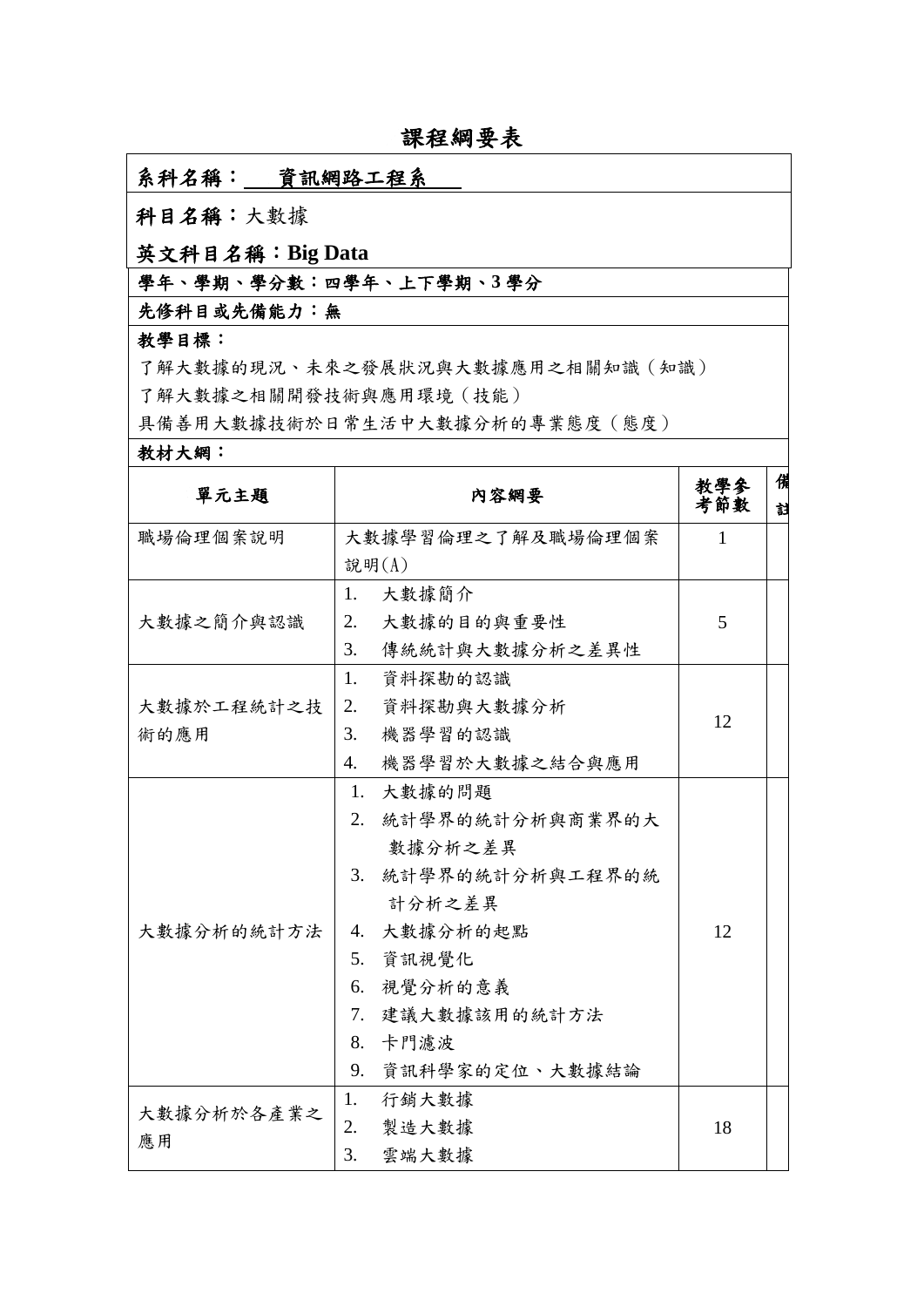# 課程綱要表

### 系科名稱:資訊網路工程系

## 科目名稱:大數據

### 英文科目名稱:**Big Data**

# 學年、學期、學分數:四學年、上下學期、**3** 學分

### 先修科目或先備能力:無

#### 教學目標:

了解大數據的現況、未來之發展狀況與大數據應用之相關知識(知識) 了解大數據之相關開發技術與應用環境(技能)

具備善用大數據技術於日常生活中大數據分析的專業態度(態度)

#### 教材大網:

| 單元主題       | 内容網要                  | 教學參<br>考節數   | 備<br>封 |
|------------|-----------------------|--------------|--------|
| 職場倫理個案說明   | 大數據學習倫理之了解及職場倫理個案     | $\mathbf{1}$ |        |
|            | 說明(A)                 |              |        |
|            | 大數據簡介<br>1.           |              |        |
| 大數據之簡介與認識  | 大數據的目的與重要性<br>2.      | 5            |        |
|            | 3.<br>傳統統計與大數據分析之差異性  |              |        |
|            | 1.<br>資料探勘的認識         |              |        |
| 大數據於工程統計之技 | 2.<br>資料探勘與大數據分析      | 12           |        |
| 術的應用       | 3.<br>機器學習的認識         |              |        |
|            | 機器學習於大數據之結合與應用<br>4.  |              |        |
|            | 1. 大數據的問題             |              |        |
|            | 2. 統計學界的統計分析與商業界的大    |              |        |
|            | 數據分析之差異               |              |        |
|            | 統計學界的統計分析與工程界的統<br>3. |              |        |
|            | 計分析之差異                |              |        |
| 大數據分析的統計方法 | 4. 大數據分析的起點           | 12           |        |
|            | 5. 資訊視覺化              |              |        |
|            | 6. 視覺分析的意義            |              |        |
|            | 7. 建議大數據該用的統計方法       |              |        |
|            | 8. 卡門濾波               |              |        |
|            | 資訊科學家的定位、大數據結論<br>9.  |              |        |
| 大數據分析於各產業之 | 行銷大數據<br>1.           |              |        |
|            | 2.<br>製造大數據           | 18           |        |
| 應用         | 3.<br>雲端大數據           |              |        |